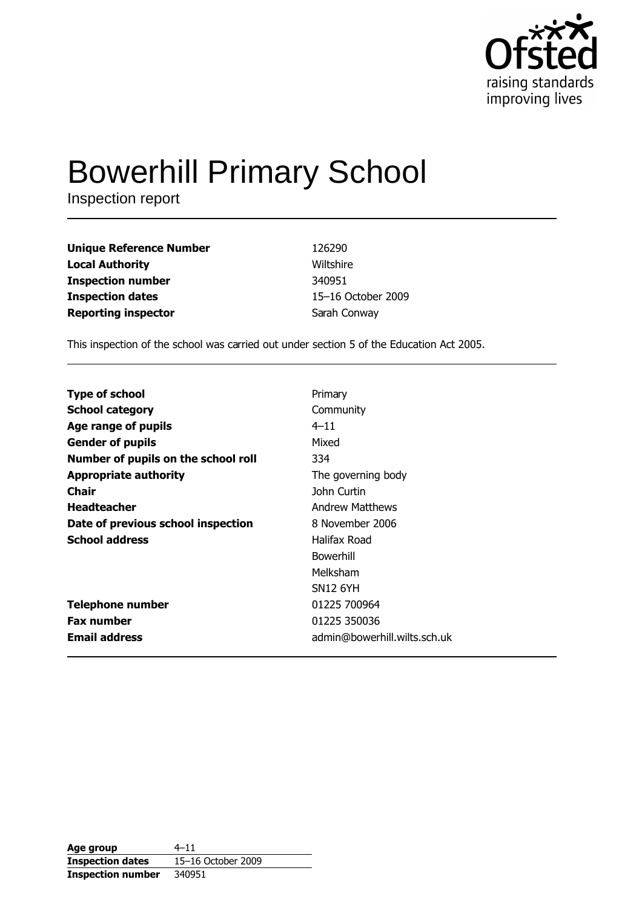

# **Bowerhill Primary School**

Inspection report

| <b>Unique Reference Number</b> | 126290             |
|--------------------------------|--------------------|
| <b>Local Authority</b>         | Wiltshire          |
| <b>Inspection number</b>       | 340951             |
| <b>Inspection dates</b>        | 15-16 October 2009 |
| <b>Reporting inspector</b>     | Sarah Conway       |

This inspection of the school was carried out under section 5 of the Education Act 2005.

| <b>Type of school</b>               | Primary                      |
|-------------------------------------|------------------------------|
| <b>School category</b>              | Community                    |
| Age range of pupils                 | $4 - 11$                     |
| <b>Gender of pupils</b>             | Mixed                        |
| Number of pupils on the school roll | 334                          |
| <b>Appropriate authority</b>        | The governing body           |
| Chair                               | John Curtin                  |
| <b>Headteacher</b>                  | <b>Andrew Matthews</b>       |
| Date of previous school inspection  | 8 November 2006              |
| <b>School address</b>               | Halifax Road                 |
|                                     | Bowerhill                    |
|                                     | Melksham                     |
|                                     | <b>SN12 6YH</b>              |
| <b>Telephone number</b>             | 01225 700964                 |
| <b>Fax number</b>                   | 01225 350036                 |
| <b>Email address</b>                | admin@bowerhill.wilts.sch.uk |
|                                     |                              |

| Age group                | 4–11               |
|--------------------------|--------------------|
| <b>Inspection dates</b>  | 15-16 October 2009 |
| <b>Inspection number</b> | 340951             |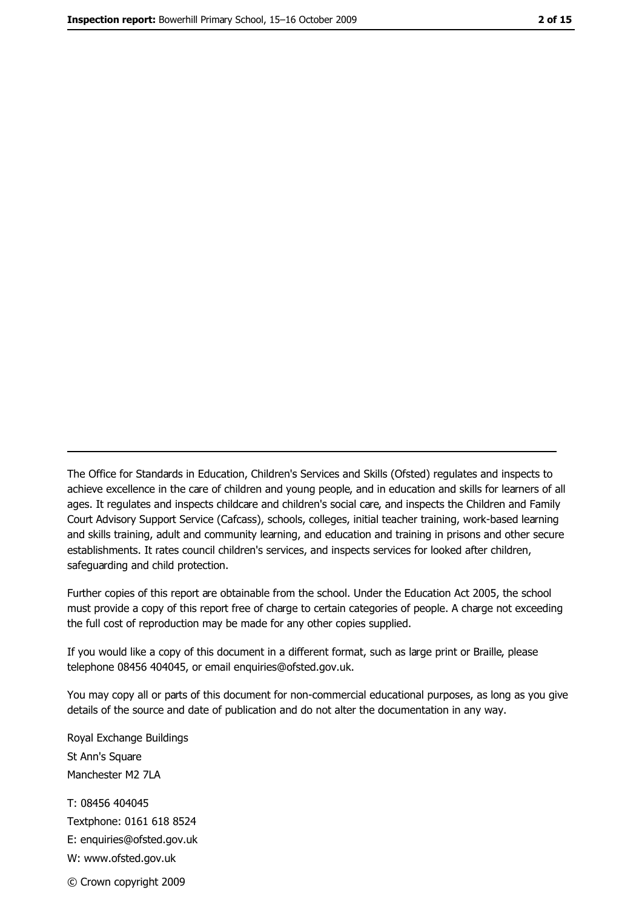The Office for Standards in Education, Children's Services and Skills (Ofsted) regulates and inspects to achieve excellence in the care of children and young people, and in education and skills for learners of all ages. It regulates and inspects childcare and children's social care, and inspects the Children and Family Court Advisory Support Service (Cafcass), schools, colleges, initial teacher training, work-based learning and skills training, adult and community learning, and education and training in prisons and other secure establishments. It rates council children's services, and inspects services for looked after children, safequarding and child protection.

Further copies of this report are obtainable from the school. Under the Education Act 2005, the school must provide a copy of this report free of charge to certain categories of people. A charge not exceeding the full cost of reproduction may be made for any other copies supplied.

If you would like a copy of this document in a different format, such as large print or Braille, please telephone 08456 404045, or email enquiries@ofsted.gov.uk.

You may copy all or parts of this document for non-commercial educational purposes, as long as you give details of the source and date of publication and do not alter the documentation in any way.

Royal Exchange Buildings St Ann's Square Manchester M2 7LA T: 08456 404045 Textphone: 0161 618 8524 E: enquiries@ofsted.gov.uk W: www.ofsted.gov.uk © Crown copyright 2009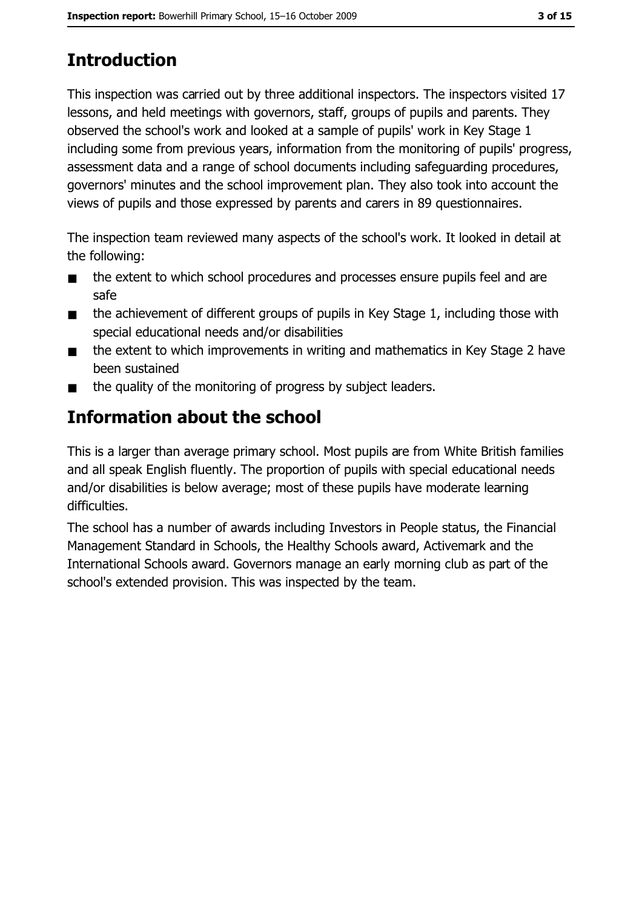# **Introduction**

This inspection was carried out by three additional inspectors. The inspectors visited 17 lessons, and held meetings with governors, staff, groups of pupils and parents. They observed the school's work and looked at a sample of pupils' work in Key Stage 1 including some from previous years, information from the monitoring of pupils' progress, assessment data and a range of school documents including safeguarding procedures, governors' minutes and the school improvement plan. They also took into account the views of pupils and those expressed by parents and carers in 89 questionnaires.

The inspection team reviewed many aspects of the school's work. It looked in detail at the following:

- the extent to which school procedures and processes ensure pupils feel and are  $\blacksquare$ safe
- the achievement of different groups of pupils in Key Stage 1, including those with  $\blacksquare$ special educational needs and/or disabilities
- the extent to which improvements in writing and mathematics in Key Stage 2 have  $\blacksquare$ been sustained
- the quality of the monitoring of progress by subject leaders.  $\blacksquare$

# Information about the school

This is a larger than average primary school. Most pupils are from White British families and all speak English fluently. The proportion of pupils with special educational needs and/or disabilities is below average; most of these pupils have moderate learning difficulties.

The school has a number of awards including Investors in People status, the Financial Management Standard in Schools, the Healthy Schools award, Activemark and the International Schools award. Governors manage an early morning club as part of the school's extended provision. This was inspected by the team.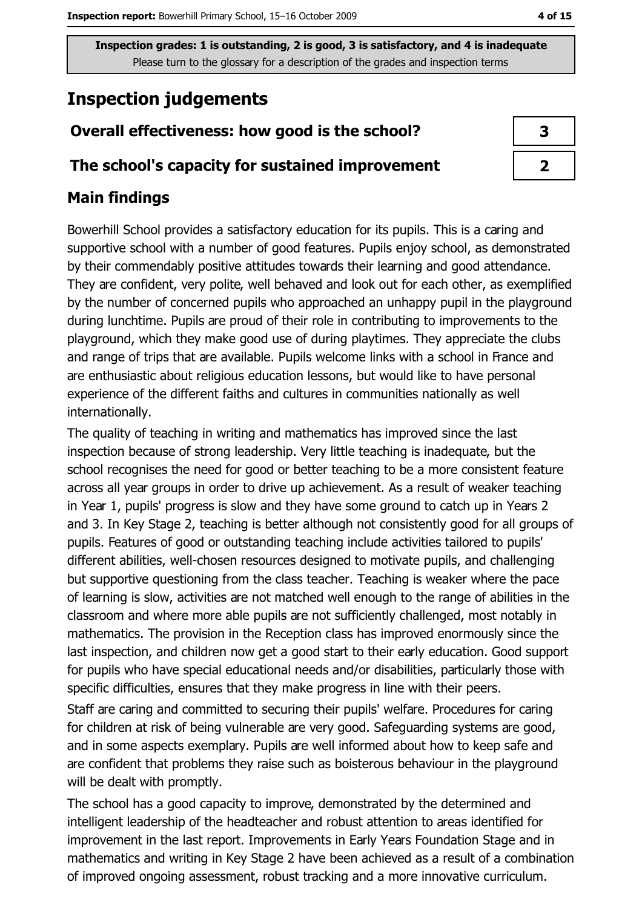## **Inspection judgements**

### Overall effectiveness: how good is the school?

#### The school's capacity for sustained improvement

### **Main findings**

Bowerhill School provides a satisfactory education for its pupils. This is a caring and supportive school with a number of good features. Pupils enjoy school, as demonstrated by their commendably positive attitudes towards their learning and good attendance. They are confident, very polite, well behaved and look out for each other, as exemplified by the number of concerned pupils who approached an unhappy pupil in the playground during lunchtime. Pupils are proud of their role in contributing to improvements to the playground, which they make good use of during playtimes. They appreciate the clubs and range of trips that are available. Pupils welcome links with a school in France and are enthusiastic about religious education lessons, but would like to have personal experience of the different faiths and cultures in communities nationally as well internationally.

The quality of teaching in writing and mathematics has improved since the last inspection because of strong leadership. Very little teaching is inadequate, but the school recognises the need for good or better teaching to be a more consistent feature across all year groups in order to drive up achievement. As a result of weaker teaching in Year 1, pupils' progress is slow and they have some ground to catch up in Years 2 and 3. In Key Stage 2, teaching is better although not consistently good for all groups of pupils. Features of good or outstanding teaching include activities tailored to pupils' different abilities, well-chosen resources designed to motivate pupils, and challenging but supportive questioning from the class teacher. Teaching is weaker where the pace of learning is slow, activities are not matched well enough to the range of abilities in the classroom and where more able pupils are not sufficiently challenged, most notably in mathematics. The provision in the Reception class has improved enormously since the last inspection, and children now get a good start to their early education. Good support for pupils who have special educational needs and/or disabilities, particularly those with specific difficulties, ensures that they make progress in line with their peers.

Staff are caring and committed to securing their pupils' welfare. Procedures for caring for children at risk of being vulnerable are very good. Safeguarding systems are good, and in some aspects exemplary. Pupils are well informed about how to keep safe and are confident that problems they raise such as boisterous behaviour in the playground will be dealt with promptly.

The school has a good capacity to improve, demonstrated by the determined and intelligent leadership of the headteacher and robust attention to areas identified for improvement in the last report. Improvements in Early Years Foundation Stage and in mathematics and writing in Key Stage 2 have been achieved as a result of a combination of improved ongoing assessment, robust tracking and a more innovative curriculum.

3  $\overline{2}$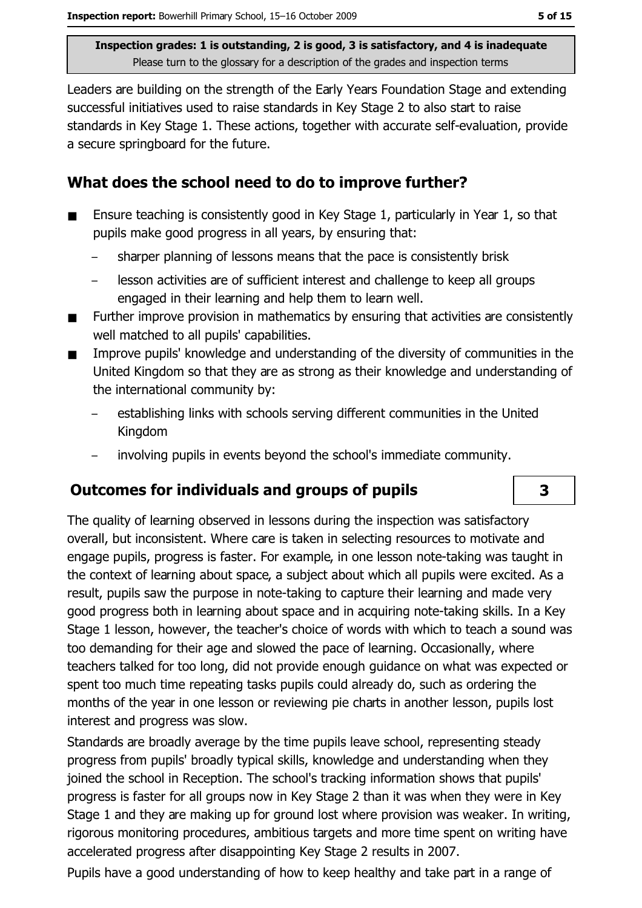Leaders are building on the strength of the Early Years Foundation Stage and extending successful initiatives used to raise standards in Key Stage 2 to also start to raise standards in Key Stage 1. These actions, together with accurate self-evaluation, provide a secure springboard for the future.

#### What does the school need to do to improve further?

- Ensure teaching is consistently good in Key Stage 1, particularly in Year 1, so that  $\blacksquare$ pupils make good progress in all years, by ensuring that:
	- sharper planning of lessons means that the pace is consistently brisk
	- lesson activities are of sufficient interest and challenge to keep all groups engaged in their learning and help them to learn well.
- Further improve provision in mathematics by ensuring that activities are consistently well matched to all pupils' capabilities.
- Improve pupils' knowledge and understanding of the diversity of communities in the United Kingdom so that they are as strong as their knowledge and understanding of the international community by:
	- establishing links with schools serving different communities in the United Kingdom
	- involving pupils in events bevond the school's immediate community.

#### **Outcomes for individuals and groups of pupils**

The quality of learning observed in lessons during the inspection was satisfactory overall, but inconsistent. Where care is taken in selecting resources to motivate and engage pupils, progress is faster. For example, in one lesson note-taking was taught in the context of learning about space, a subject about which all pupils were excited. As a result, pupils saw the purpose in note-taking to capture their learning and made very good progress both in learning about space and in acquiring note-taking skills. In a Key Stage 1 lesson, however, the teacher's choice of words with which to teach a sound was too demanding for their age and slowed the pace of learning. Occasionally, where teachers talked for too long, did not provide enough quidance on what was expected or spent too much time repeating tasks pupils could already do, such as ordering the months of the year in one lesson or reviewing pie charts in another lesson, pupils lost interest and progress was slow.

Standards are broadly average by the time pupils leave school, representing steady progress from pupils' broadly typical skills, knowledge and understanding when they joined the school in Reception. The school's tracking information shows that pupils' progress is faster for all groups now in Key Stage 2 than it was when they were in Key Stage 1 and they are making up for ground lost where provision was weaker. In writing, rigorous monitoring procedures, ambitious targets and more time spent on writing have accelerated progress after disappointing Key Stage 2 results in 2007.

Pupils have a good understanding of how to keep healthy and take part in a range of

 $\overline{\mathbf{3}}$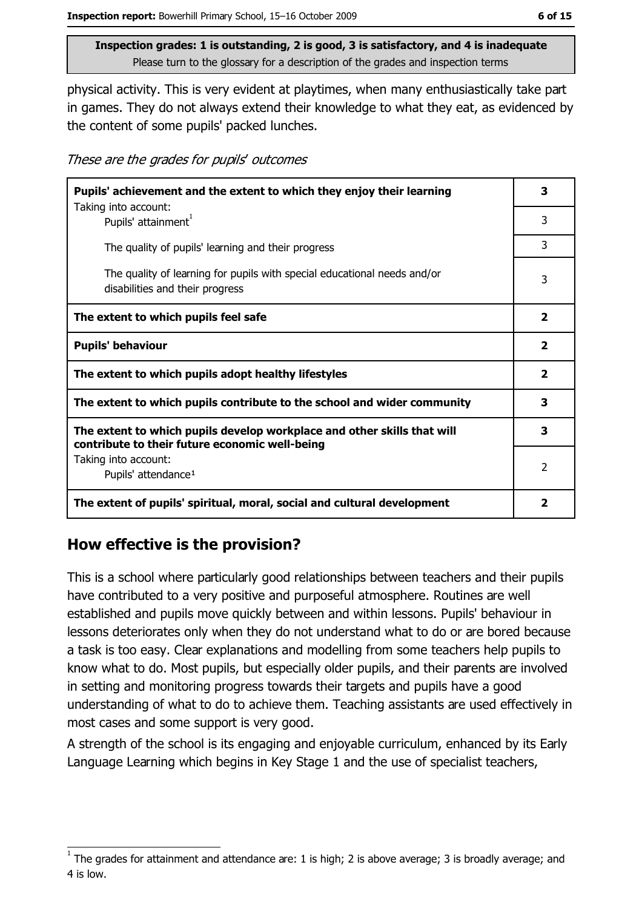physical activity. This is very evident at playtimes, when many enthusiastically take part in games. They do not always extend their knowledge to what they eat, as evidenced by the content of some pupils' packed lunches.

These are the grades for pupils' outcomes

| Pupils' achievement and the extent to which they enjoy their learning                                                     |                         |
|---------------------------------------------------------------------------------------------------------------------------|-------------------------|
| Taking into account:<br>Pupils' attainment <sup>1</sup>                                                                   | 3                       |
| The quality of pupils' learning and their progress                                                                        | 3                       |
| The quality of learning for pupils with special educational needs and/or<br>disabilities and their progress               | 3                       |
| The extent to which pupils feel safe                                                                                      | $\overline{\mathbf{2}}$ |
| <b>Pupils' behaviour</b>                                                                                                  | $\overline{\mathbf{2}}$ |
| The extent to which pupils adopt healthy lifestyles                                                                       | $\overline{\mathbf{2}}$ |
| The extent to which pupils contribute to the school and wider community                                                   | 3                       |
| The extent to which pupils develop workplace and other skills that will<br>contribute to their future economic well-being | 3                       |
| Taking into account:<br>Pupils' attendance <sup>1</sup>                                                                   | $\mathcal{P}$           |
| The extent of pupils' spiritual, moral, social and cultural development                                                   |                         |

## How effective is the provision?

This is a school where particularly good relationships between teachers and their pupils have contributed to a very positive and purposeful atmosphere. Routines are well established and pupils move quickly between and within lessons. Pupils' behaviour in lessons deteriorates only when they do not understand what to do or are bored because a task is too easy. Clear explanations and modelling from some teachers help pupils to know what to do. Most pupils, but especially older pupils, and their parents are involved in setting and monitoring progress towards their targets and pupils have a good understanding of what to do to achieve them. Teaching assistants are used effectively in most cases and some support is very good.

A strength of the school is its engaging and enjoyable curriculum, enhanced by its Early Language Learning which begins in Key Stage 1 and the use of specialist teachers,

The grades for attainment and attendance are: 1 is high; 2 is above average; 3 is broadly average; and 4 is low.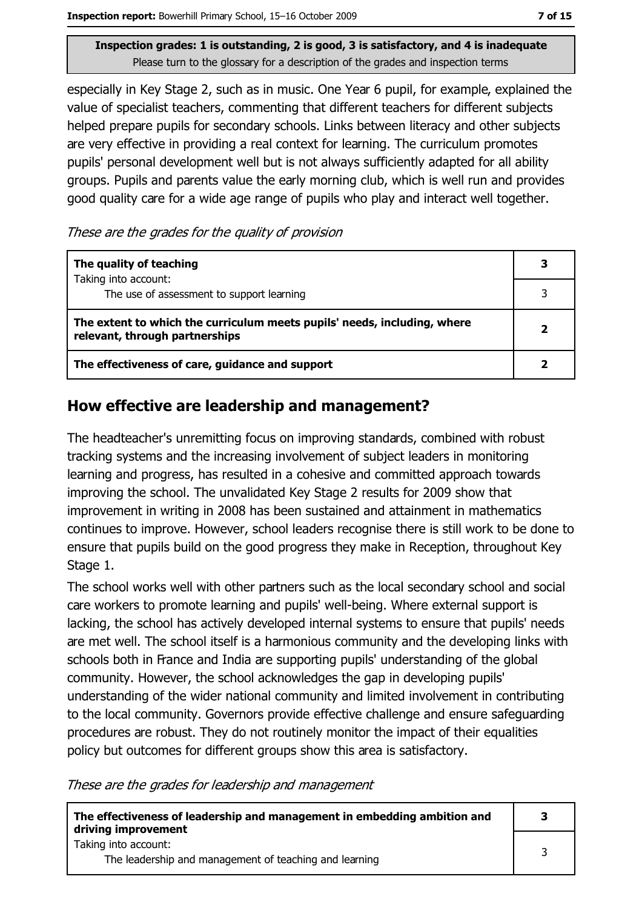especially in Key Stage 2, such as in music. One Year 6 pupil, for example, explained the value of specialist teachers, commenting that different teachers for different subjects helped prepare pupils for secondary schools. Links between literacy and other subjects are very effective in providing a real context for learning. The curriculum promotes pupils' personal development well but is not always sufficiently adapted for all ability groups. Pupils and parents value the early morning club, which is well run and provides good quality care for a wide age range of pupils who play and interact well together.

These are the grades for the quality of provision

| The quality of teaching                                                                                    |  |
|------------------------------------------------------------------------------------------------------------|--|
| Taking into account:<br>The use of assessment to support learning                                          |  |
| The extent to which the curriculum meets pupils' needs, including, where<br>relevant, through partnerships |  |
| The effectiveness of care, guidance and support                                                            |  |

#### How effective are leadership and management?

The headteacher's unremitting focus on improving standards, combined with robust tracking systems and the increasing involvement of subject leaders in monitoring learning and progress, has resulted in a cohesive and committed approach towards improving the school. The unvalidated Key Stage 2 results for 2009 show that improvement in writing in 2008 has been sustained and attainment in mathematics continues to improve. However, school leaders recognise there is still work to be done to ensure that pupils build on the good progress they make in Reception, throughout Key Stage 1.

The school works well with other partners such as the local secondary school and social care workers to promote learning and pupils' well-being. Where external support is lacking, the school has actively developed internal systems to ensure that pupils' needs are met well. The school itself is a harmonious community and the developing links with schools both in France and India are supporting pupils' understanding of the global community. However, the school acknowledges the gap in developing pupils' understanding of the wider national community and limited involvement in contributing to the local community. Governors provide effective challenge and ensure safeguarding procedures are robust. They do not routinely monitor the impact of their equalities policy but outcomes for different groups show this area is satisfactory.

These are the grades for leadership and management

| The effectiveness of leadership and management in embedding ambition and<br>driving improvement | -3 |
|-------------------------------------------------------------------------------------------------|----|
| Taking into account:<br>The leadership and management of teaching and learning                  |    |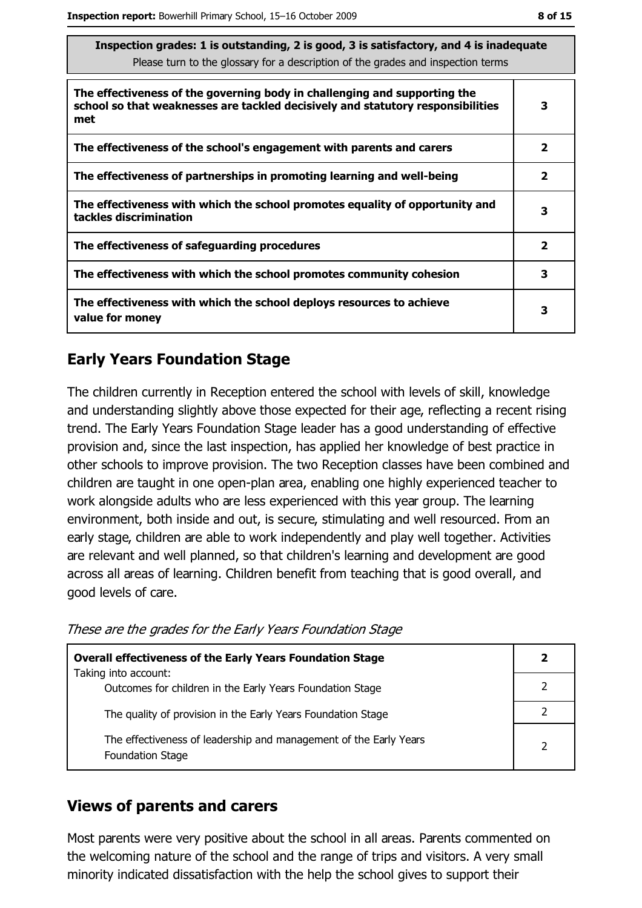| respection grades. I is outstanding, z is good, s is satisfactory, and + is madequate<br>Please turn to the glossary for a description of the grades and inspection terms |                         |
|---------------------------------------------------------------------------------------------------------------------------------------------------------------------------|-------------------------|
| The effectiveness of the governing body in challenging and supporting the<br>school so that weaknesses are tackled decisively and statutory responsibilities<br>met       | 3                       |
| The effectiveness of the school's engagement with parents and carers                                                                                                      | 2                       |
| The effectiveness of partnerships in promoting learning and well-being                                                                                                    | $\mathbf{2}$            |
| The effectiveness with which the school promotes equality of opportunity and<br>tackles discrimination                                                                    | 3                       |
| The effectiveness of safeguarding procedures                                                                                                                              | $\overline{\mathbf{2}}$ |
| The effectiveness with which the school promotes community cohesion                                                                                                       | 3                       |
| The effectiveness with which the school deploys resources to achieve<br>value for money                                                                                   | 3                       |

 $\frac{1}{2}$  is outstanding 2 is good 3 is satisfactory, and 4 is inadequ

## **Early Years Foundation Stage**

The children currently in Reception entered the school with levels of skill, knowledge and understanding slightly above those expected for their age, reflecting a recent rising trend. The Early Years Foundation Stage leader has a good understanding of effective provision and, since the last inspection, has applied her knowledge of best practice in other schools to improve provision. The two Reception classes have been combined and children are taught in one open-plan area, enabling one highly experienced teacher to work alongside adults who are less experienced with this year group. The learning environment, both inside and out, is secure, stimulating and well resourced. From an early stage, children are able to work independently and play well together. Activities are relevant and well planned, so that children's learning and development are good across all areas of learning. Children benefit from teaching that is good overall, and good levels of care.

These are the grades for the Early Years Foundation Stage

| <b>Overall effectiveness of the Early Years Foundation Stage</b><br>Taking into account:     |  |
|----------------------------------------------------------------------------------------------|--|
| Outcomes for children in the Early Years Foundation Stage                                    |  |
| The quality of provision in the Early Years Foundation Stage                                 |  |
| The effectiveness of leadership and management of the Early Years<br><b>Foundation Stage</b> |  |

#### **Views of parents and carers**

Most parents were very positive about the school in all areas. Parents commented on the welcoming nature of the school and the range of trips and visitors. A very small minority indicated dissatisfaction with the help the school gives to support their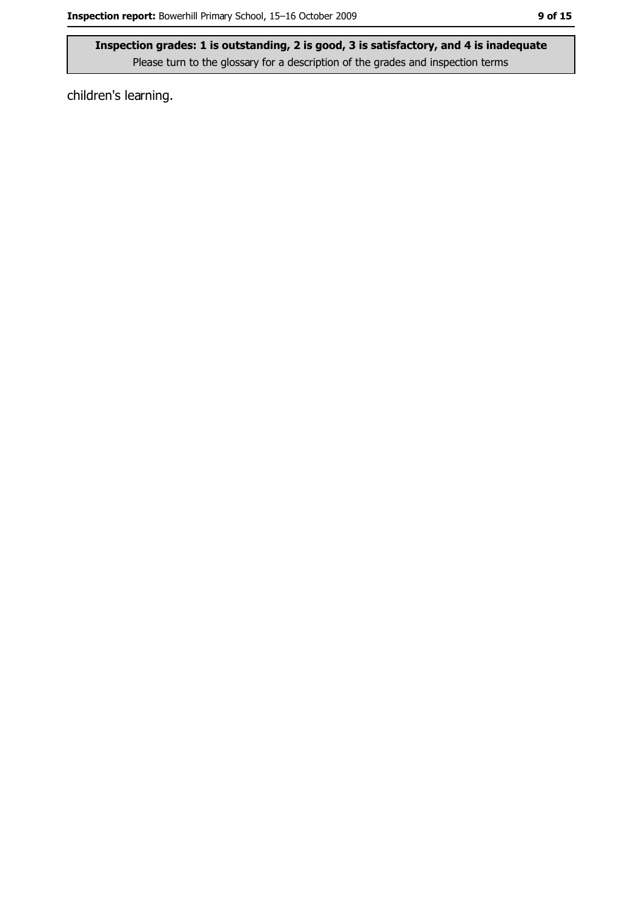children's learning.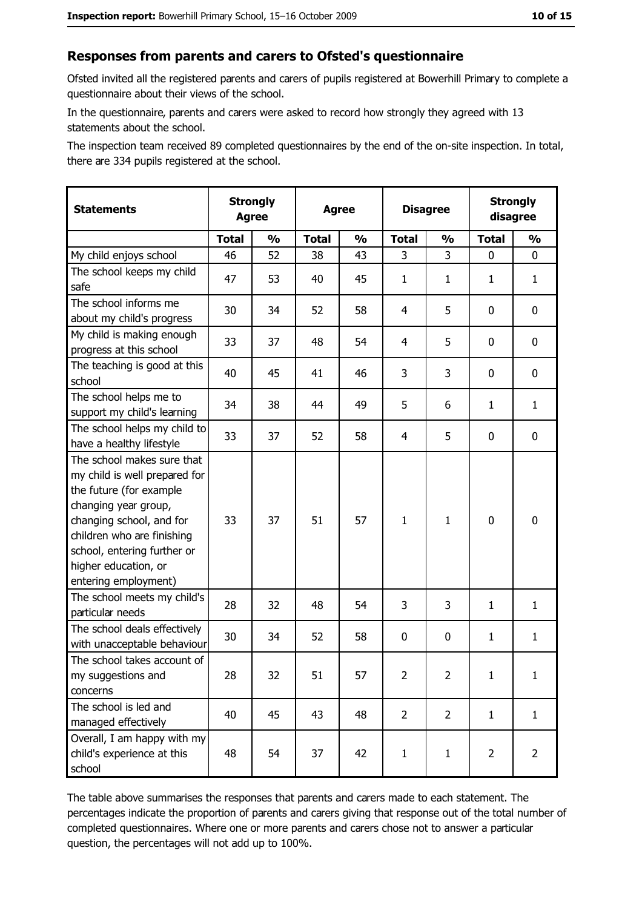#### Responses from parents and carers to Ofsted's questionnaire

Ofsted invited all the registered parents and carers of pupils registered at Bowerhill Primary to complete a questionnaire about their views of the school.

In the questionnaire, parents and carers were asked to record how strongly they agreed with 13 statements about the school.

The inspection team received 89 completed questionnaires by the end of the on-site inspection. In total, there are 334 pupils registered at the school.

| <b>Statements</b>                                                                                                                                                                                                                                       | <b>Strongly</b><br><b>Agree</b> |               | <b>Agree</b> |               | <b>Disagree</b> |                | <b>Strongly</b><br>disagree |                |
|---------------------------------------------------------------------------------------------------------------------------------------------------------------------------------------------------------------------------------------------------------|---------------------------------|---------------|--------------|---------------|-----------------|----------------|-----------------------------|----------------|
|                                                                                                                                                                                                                                                         | <b>Total</b>                    | $\frac{1}{2}$ | <b>Total</b> | $\frac{1}{2}$ | <b>Total</b>    | $\frac{0}{0}$  | <b>Total</b>                | $\frac{1}{2}$  |
| My child enjoys school                                                                                                                                                                                                                                  | 46                              | 52            | 38           | 43            | 3               | 3              | $\Omega$                    | 0              |
| The school keeps my child<br>safe                                                                                                                                                                                                                       | 47                              | 53            | 40           | 45            | $\mathbf{1}$    | 1              | 1                           | $\mathbf{1}$   |
| The school informs me<br>about my child's progress                                                                                                                                                                                                      | 30                              | 34            | 52           | 58            | 4               | 5              | 0                           | 0              |
| My child is making enough<br>progress at this school                                                                                                                                                                                                    | 33                              | 37            | 48           | 54            | 4               | 5              | 0                           | 0              |
| The teaching is good at this<br>school                                                                                                                                                                                                                  | 40                              | 45            | 41           | 46            | 3               | 3              | 0                           | 0              |
| The school helps me to<br>support my child's learning                                                                                                                                                                                                   | 34                              | 38            | 44           | 49            | 5               | 6              | $\mathbf{1}$                | $\mathbf{1}$   |
| The school helps my child to<br>have a healthy lifestyle                                                                                                                                                                                                | 33                              | 37            | 52           | 58            | 4               | 5              | 0                           | $\mathbf 0$    |
| The school makes sure that<br>my child is well prepared for<br>the future (for example<br>changing year group,<br>changing school, and for<br>children who are finishing<br>school, entering further or<br>higher education, or<br>entering employment) | 33                              | 37            | 51           | 57            | $\mathbf{1}$    | 1              | $\mathbf 0$                 | $\mathbf 0$    |
| The school meets my child's<br>particular needs                                                                                                                                                                                                         | 28                              | 32            | 48           | 54            | 3               | 3              | $\mathbf{1}$                | $\mathbf{1}$   |
| The school deals effectively<br>with unacceptable behaviour                                                                                                                                                                                             | 30                              | 34            | 52           | 58            | $\mathbf 0$     | 0              | 1                           | $\mathbf{1}$   |
| The school takes account of<br>my suggestions and<br>concerns                                                                                                                                                                                           | 28                              | 32            | 51           | 57            | $\overline{2}$  | 2              | $\mathbf{1}$                | $\mathbf{1}$   |
| The school is led and<br>managed effectively                                                                                                                                                                                                            | 40                              | 45            | 43           | 48            | $\overline{2}$  | $\overline{2}$ | $\mathbf{1}$                | $\mathbf{1}$   |
| Overall, I am happy with my<br>child's experience at this<br>school                                                                                                                                                                                     | 48                              | 54            | 37           | 42            | $\mathbf{1}$    | $\mathbf{1}$   | $\overline{2}$              | $\overline{2}$ |

The table above summarises the responses that parents and carers made to each statement. The percentages indicate the proportion of parents and carers giving that response out of the total number of completed questionnaires. Where one or more parents and carers chose not to answer a particular question, the percentages will not add up to 100%.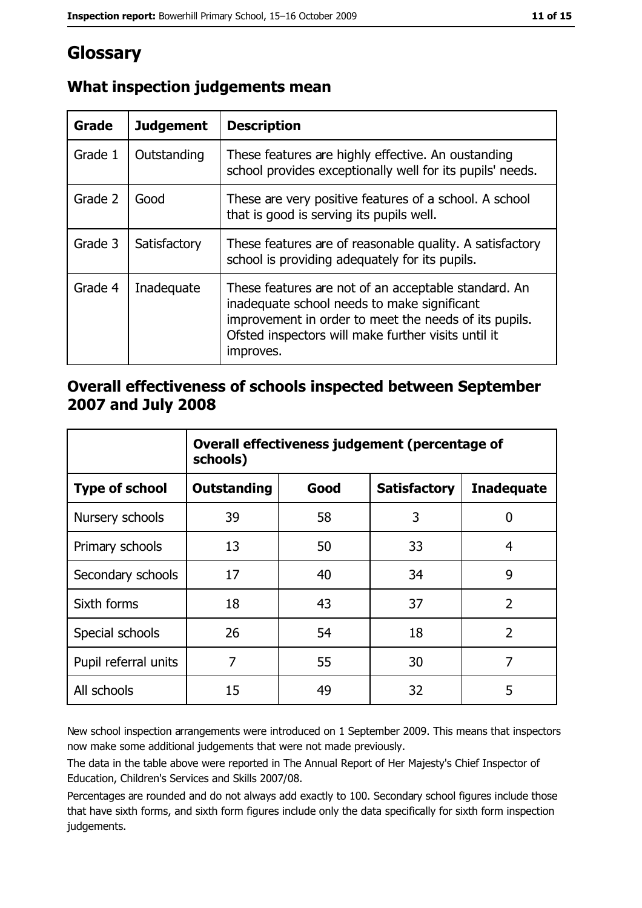## Glossary

| Grade   | <b>Judgement</b> | <b>Description</b>                                                                                                                                                                                                               |
|---------|------------------|----------------------------------------------------------------------------------------------------------------------------------------------------------------------------------------------------------------------------------|
| Grade 1 | Outstanding      | These features are highly effective. An oustanding<br>school provides exceptionally well for its pupils' needs.                                                                                                                  |
| Grade 2 | Good             | These are very positive features of a school. A school<br>that is good is serving its pupils well.                                                                                                                               |
| Grade 3 | Satisfactory     | These features are of reasonable quality. A satisfactory<br>school is providing adequately for its pupils.                                                                                                                       |
| Grade 4 | Inadequate       | These features are not of an acceptable standard. An<br>inadequate school needs to make significant<br>improvement in order to meet the needs of its pupils.<br>Ofsted inspectors will make further visits until it<br>improves. |

## What inspection judgements mean

#### Overall effectiveness of schools inspected between September 2007 and July 2008

|                       | Overall effectiveness judgement (percentage of<br>schools) |      |                     |                   |
|-----------------------|------------------------------------------------------------|------|---------------------|-------------------|
| <b>Type of school</b> | Outstanding                                                | Good | <b>Satisfactory</b> | <b>Inadequate</b> |
| Nursery schools       | 39                                                         | 58   | 3                   | 0                 |
| Primary schools       | 13                                                         | 50   | 33                  | 4                 |
| Secondary schools     | 17                                                         | 40   | 34                  | 9                 |
| Sixth forms           | 18                                                         | 43   | 37                  | $\overline{2}$    |
| Special schools       | 26                                                         | 54   | 18                  | $\overline{2}$    |
| Pupil referral units  | 7                                                          | 55   | 30                  | 7                 |
| All schools           | 15                                                         | 49   | 32                  | 5                 |

New school inspection arrangements were introduced on 1 September 2009. This means that inspectors now make some additional judgements that were not made previously.

The data in the table above were reported in The Annual Report of Her Majesty's Chief Inspector of Education, Children's Services and Skills 2007/08.

Percentages are rounded and do not always add exactly to 100. Secondary school figures include those that have sixth forms, and sixth form figures include only the data specifically for sixth form inspection judgements.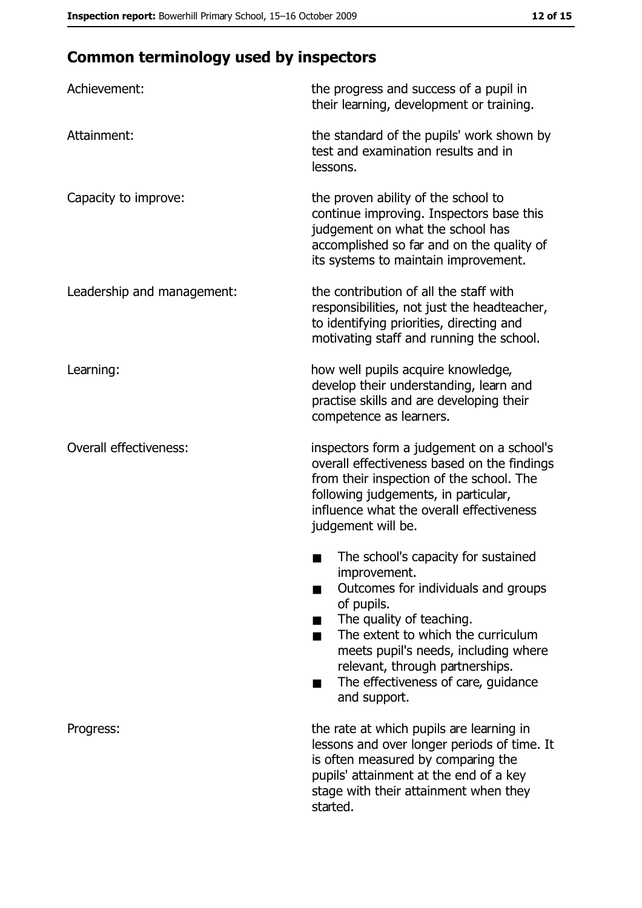# **Common terminology used by inspectors**

| Achievement:                  | the progress and success of a pupil in<br>their learning, development or training.                                                                                                                                                                                                                           |
|-------------------------------|--------------------------------------------------------------------------------------------------------------------------------------------------------------------------------------------------------------------------------------------------------------------------------------------------------------|
| Attainment:                   | the standard of the pupils' work shown by<br>test and examination results and in<br>lessons.                                                                                                                                                                                                                 |
| Capacity to improve:          | the proven ability of the school to<br>continue improving. Inspectors base this<br>judgement on what the school has<br>accomplished so far and on the quality of<br>its systems to maintain improvement.                                                                                                     |
| Leadership and management:    | the contribution of all the staff with<br>responsibilities, not just the headteacher,<br>to identifying priorities, directing and<br>motivating staff and running the school.                                                                                                                                |
| Learning:                     | how well pupils acquire knowledge,<br>develop their understanding, learn and<br>practise skills and are developing their<br>competence as learners.                                                                                                                                                          |
| <b>Overall effectiveness:</b> | inspectors form a judgement on a school's<br>overall effectiveness based on the findings<br>from their inspection of the school. The<br>following judgements, in particular,<br>influence what the overall effectiveness<br>judgement will be.                                                               |
|                               | The school's capacity for sustained<br>improvement.<br>Outcomes for individuals and groups<br>of pupils.<br>The quality of teaching.<br>The extent to which the curriculum<br>meets pupil's needs, including where<br>relevant, through partnerships.<br>The effectiveness of care, guidance<br>and support. |
| Progress:                     | the rate at which pupils are learning in<br>lessons and over longer periods of time. It<br>is often measured by comparing the<br>pupils' attainment at the end of a key<br>stage with their attainment when they<br>started.                                                                                 |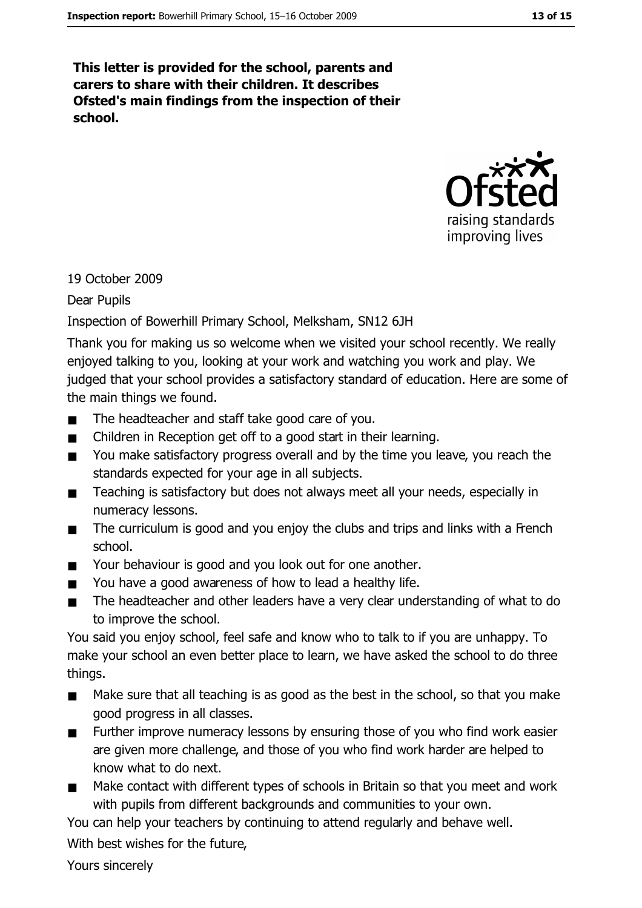This letter is provided for the school, parents and carers to share with their children. It describes Ofsted's main findings from the inspection of their school.



19 October 2009

Dear Pupils

Inspection of Bowerhill Primary School, Melksham, SN12 6JH

Thank you for making us so welcome when we visited your school recently. We really enjoyed talking to you, looking at your work and watching you work and play. We judged that your school provides a satisfactory standard of education. Here are some of the main things we found.

- The headteacher and staff take good care of you.  $\blacksquare$
- Children in Reception get off to a good start in their learning.  $\blacksquare$
- You make satisfactory progress overall and by the time you leave, you reach the  $\blacksquare$ standards expected for your age in all subjects.
- Teaching is satisfactory but does not always meet all your needs, especially in  $\blacksquare$ numeracy lessons.
- The curriculum is good and you enjoy the clubs and trips and links with a French  $\blacksquare$ school.
- Your behaviour is good and you look out for one another.  $\blacksquare$
- You have a good awareness of how to lead a healthy life.  $\blacksquare$
- The headteacher and other leaders have a very clear understanding of what to do  $\blacksquare$ to improve the school.

You said you enjoy school, feel safe and know who to talk to if you are unhappy. To make your school an even better place to learn, we have asked the school to do three things.

- Make sure that all teaching is as good as the best in the school, so that you make  $\blacksquare$ good progress in all classes.
- Further improve numeracy lessons by ensuring those of you who find work easier  $\blacksquare$ are given more challenge, and those of you who find work harder are helped to know what to do next.
- Make contact with different types of schools in Britain so that you meet and work  $\blacksquare$ with pupils from different backgrounds and communities to your own.

You can help your teachers by continuing to attend regularly and behave well.

With best wishes for the future.

Yours sincerely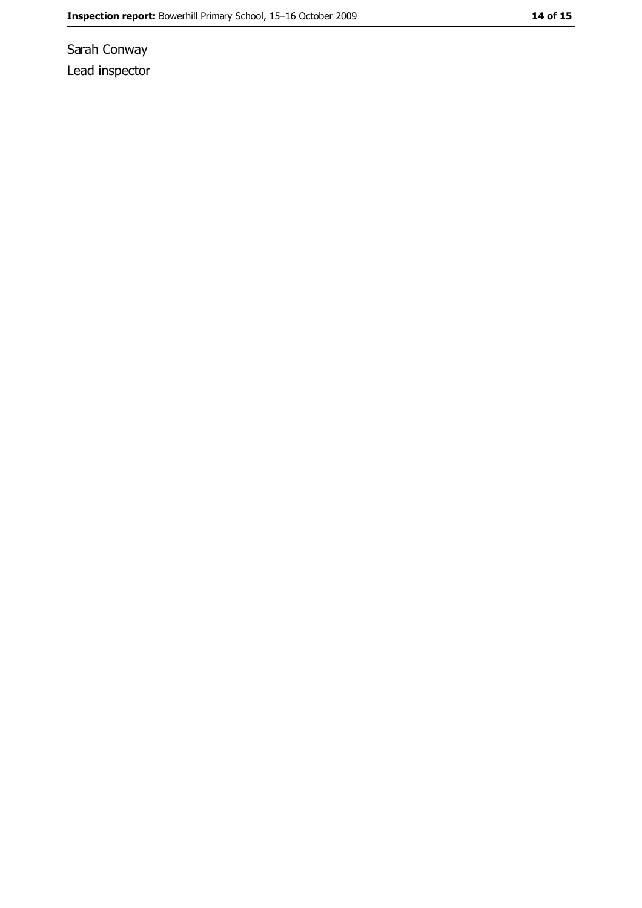Sarah Conway Lead inspector